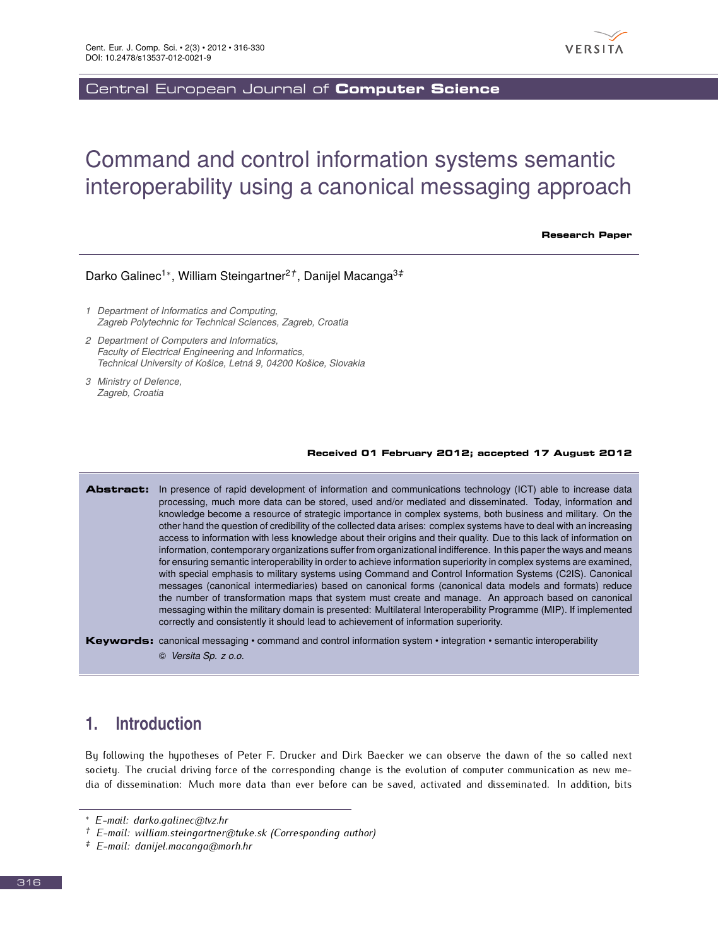**VERSITA** 

Central European Journal of **Computer Science**

# Command and control information systems semantic interoperability using a canonical messaging approach

**Research Paper**

Darko Galinec<sup>1</sup>*<sup>∗</sup>* , William Steingartner<sup>2</sup>*†* , Danijel Macanga<sup>3</sup>*‡*

- *1 Department of Informatics and Computing, Zagreb Polytechnic for Technical Sciences, Zagreb, Croatia*
- *2 Department of Computers and Informatics, Faculty of Electrical Engineering and Informatics, Technical University of Košice, Letná 9, 04200 Košice, Slovakia*

*3 Ministry of Defence, Zagreb, Croatia*

#### **Received 01 February 2012; accepted 17 August 2012**

**Abstract:** In presence of rapid development of information and communications technology (ICT) able to increase data processing, much more data can be stored, used and/or mediated and disseminated. Today, information and knowledge become a resource of strategic importance in complex systems, both business and military. On the other hand the question of credibility of the collected data arises: complex systems have to deal with an increasing access to information with less knowledge about their origins and their quality. Due to this lack of information on information, contemporary organizations suffer from organizational indifference. In this paper the ways and means for ensuring semantic interoperability in order to achieve information superiority in complex systems are examined, with special emphasis to military systems using Command and Control Information Systems (C2IS). Canonical messages (canonical intermediaries) based on canonical forms (canonical data models and formats) reduce the number of transformation maps that system must create and manage. An approach based on canonical messaging within the military domain is presented: Multilateral Interoperability Programme (MIP). If implemented correctly and consistently it should lead to achievement of information superiority.

**Keywords:** canonical messaging • command and control information system • integration • semantic interoperability

© *Versita Sp. z o.o.*

## **1. Introduction**

By following the hypotheses of Peter F. Drucker and Dirk Baecker we can observe the dawn of the so called next society. The crucial driving force of the corresponding change is the evolution of computer communication as new media of dissemination: Much more data than ever before can be saved, activated and disseminated. In addition, bits

*<sup>∗</sup> E-mail: darko.galinec@tvz.hr*

*<sup>†</sup> E-mail: william.steingartner@tuke.sk (Corresponding author)*

*<sup>‡</sup> E-mail: danijel.macanga@morh.hr*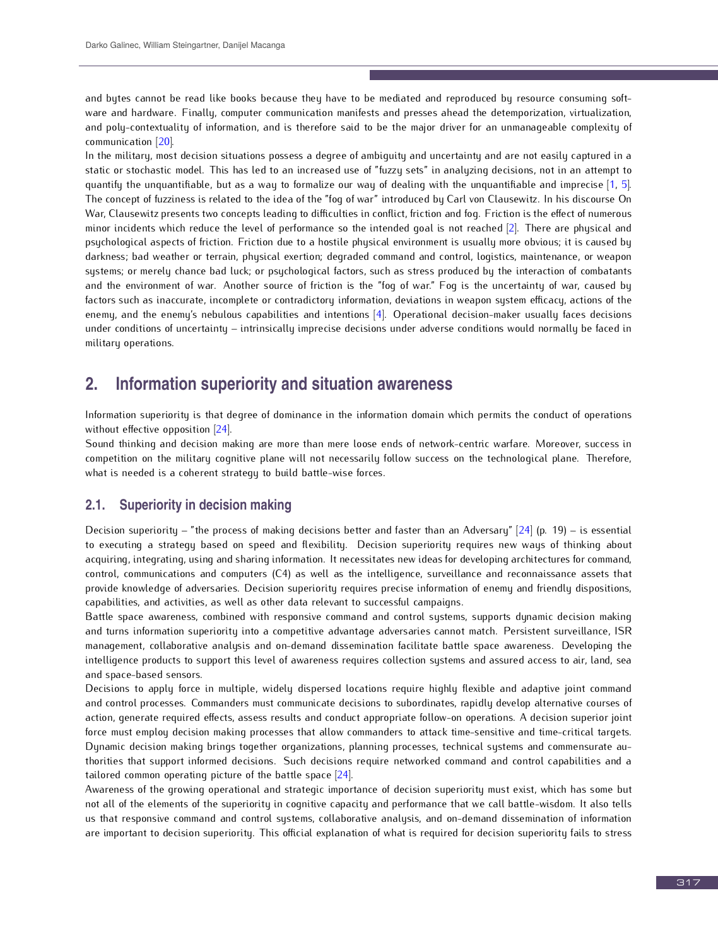and bytes cannot be read like books because they have to be mediated and reproduced by resource consuming software and hardware. Finally, computer communication manifests and presses ahead the detemporization, virtualization, and poly-contextuality of information, and is therefore said to be the major driver for an unmanageable complexity of communication [\[20\]](#page-13-0).

In the military, most decision situations possess a degree of ambiguity and uncertainty and are not easily captured in a static or stochastic model. This has led to an increased use of "fuzzy sets" in analyzing decisions, not in an attempt to quantify the unquantifiable, but as a way to formalize our way of dealing with the unquantifiable and imprecise [\[1,](#page-13-1) [5\]](#page-13-2). The concept of fuzziness is related to the idea of the "fog of war" introduced by Carl von Clausewitz. In his discourse On War, Clausewitz presents two concepts leading to difficulties in conflict, friction and fog. Friction is the effect of numerous minor incidents which reduce the level of performance so the intended goal is not reached [\[2\]](#page-13-3). There are physical and psychological aspects of friction. Friction due to a hostile physical environment is usually more obvious; it is caused by darkness; bad weather or terrain, physical exertion; degraded command and control, logistics, maintenance, or weapon systems; or merely chance bad luck; or psychological factors, such as stress produced by the interaction of combatants and the environment of war. Another source of friction is the "fog of war." Fog is the uncertainty of war, caused by factors such as inaccurate, incomplete or contradictory information, deviations in weapon system efficacy, actions of the enemy, and the enemy's nebulous capabilities and intentions [\[4\]](#page-13-4). Operational decision-maker usually faces decisions under conditions of uncertainty – intrinsically imprecise decisions under adverse conditions would normally be faced in military operations.

## **2. Information superiority and situation awareness**

Information superiority is that degree of dominance in the information domain which permits the conduct of operations without effective opposition [\[24\]](#page-14-0).

Sound thinking and decision making are more than mere loose ends of network-centric warfare. Moreover, success in competition on the military cognitive plane will not necessarily follow success on the technological plane. Therefore, what is needed is a coherent strategy to build battle-wise forces.

#### **2.1. Superiority in decision making**

Decision superiority – "the process of making decisions better and faster than an Adversary" [\[24\]](#page-14-0) (p. 19) – is essential to executing a strategy based on speed and flexibility. Decision superiority requires new ways of thinking about acquiring, integrating, using and sharing information. It necessitates new ideas for developing architectures for command, control, communications and computers (C4) as well as the intelligence, surveillance and reconnaissance assets that provide knowledge of adversaries. Decision superiority requires precise information of enemy and friendly dispositions, capabilities, and activities, as well as other data relevant to successful campaigns.

Battle space awareness, combined with responsive command and control systems, supports dynamic decision making and turns information superiority into a competitive advantage adversaries cannot match. Persistent surveillance, ISR management, collaborative analysis and on-demand dissemination facilitate battle space awareness. Developing the intelligence products to support this level of awareness requires collection systems and assured access to air, land, sea and space-based sensors.

Decisions to apply force in multiple, widely dispersed locations require highly flexible and adaptive joint command and control processes. Commanders must communicate decisions to subordinates, rapidly develop alternative courses of action, generate required effects, assess results and conduct appropriate follow-on operations. A decision superior joint force must employ decision making processes that allow commanders to attack time-sensitive and time-critical targets. Dynamic decision making brings together organizations, planning processes, technical systems and commensurate authorities that support informed decisions. Such decisions require networked command and control capabilities and a tailored common operating picture of the battle space [\[24\]](#page-14-0).

Awareness of the growing operational and strategic importance of decision superiority must exist, which has some but not all of the elements of the superiority in cognitive capacity and performance that we call battle-wisdom. It also tells us that responsive command and control systems, collaborative analysis, and on-demand dissemination of information are important to decision superiority. This official explanation of what is required for decision superiority fails to stress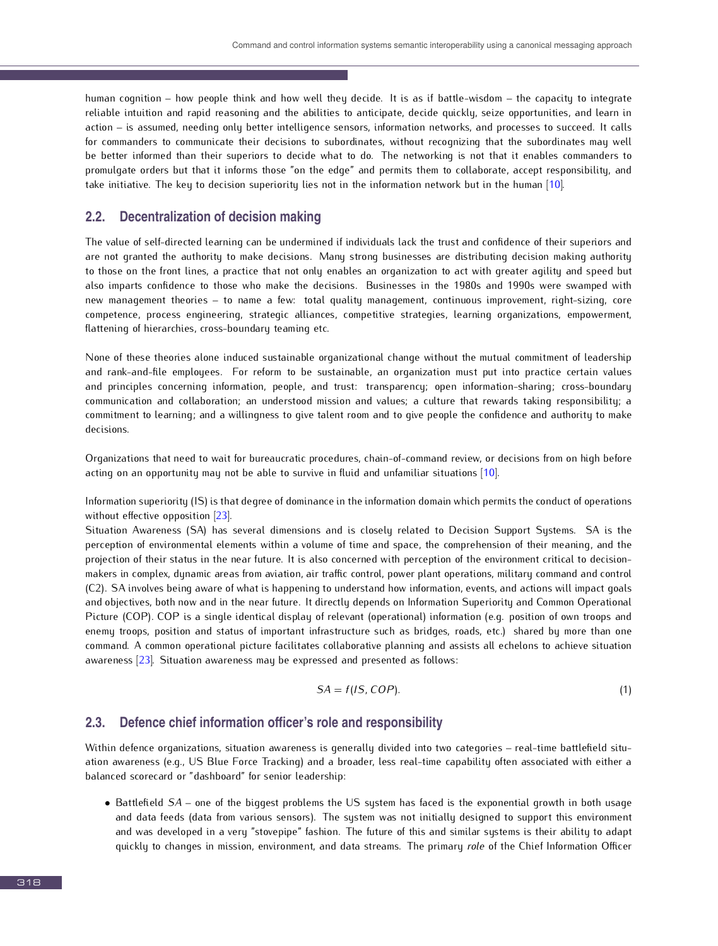human cognition – how people think and how well they decide. It is as if battle-wisdom – the capacity to integrate reliable intuition and rapid reasoning and the abilities to anticipate, decide quickly, seize opportunities, and learn in action – is assumed, needing only better intelligence sensors, information networks, and processes to succeed. It calls for commanders to communicate their decisions to subordinates, without recognizing that the subordinates may well be better informed than their superiors to decide what to do. The networking is not that it enables commanders to promulgate orders but that it informs those "on the edge" and permits them to collaborate, accept responsibility, and take initiative. The key to decision superiority lies not in the information network but in the human [\[10\]](#page-13-5).

### **2.2. Decentralization of decision making**

The value of self-directed learning can be undermined if individuals lack the trust and confidence of their superiors and are not granted the authority to make decisions. Many strong businesses are distributing decision making authority to those on the front lines, a practice that not only enables an organization to act with greater agility and speed but also imparts confidence to those who make the decisions. Businesses in the 1980s and 1990s were swamped with new management theories – to name a few: total quality management, continuous improvement, right-sizing, core competence, process engineering, strategic alliances, competitive strategies, learning organizations, empowerment, flattening of hierarchies, cross-boundary teaming etc.

None of these theories alone induced sustainable organizational change without the mutual commitment of leadership and rank-and-file employees. For reform to be sustainable, an organization must put into practice certain values and principles concerning information, people, and trust: transparency; open information-sharing; cross-boundary communication and collaboration; an understood mission and values; a culture that rewards taking responsibility; a commitment to learning; and a willingness to give talent room and to give people the confidence and authority to make decisions.

Organizations that need to wait for bureaucratic procedures, chain-of-command review, or decisions from on high before acting on an opportunity may not be able to survive in fluid and unfamiliar situations [\[10\]](#page-13-5).

Information superiority (IS) is that degree of dominance in the information domain which permits the conduct of operations without effective opposition [\[23\]](#page-14-1).

Situation Awareness (SA) has several dimensions and is closely related to Decision Support Systems. SA is the perception of environmental elements within a volume of time and space, the comprehension of their meaning, and the projection of their status in the near future. It is also concerned with perception of the environment critical to decisionmakers in complex, dynamic areas from aviation, air traffic control, power plant operations, military command and control (C2). SA involves being aware of what is happening to understand how information, events, and actions will impact goals and objectives, both now and in the near future. It directly depends on Information Superiority and Common Operational Picture (COP). COP is a single identical display of relevant (operational) information (e.g. position of own troops and enemy troops, position and status of important infrastructure such as bridges, roads, etc.) shared by more than one command. A common operational picture facilitates collaborative planning and assists all echelons to achieve situation awareness [\[23\]](#page-14-1). Situation awareness may be expressed and presented as follows:

$$
SA = f(IS, COP). \tag{1}
$$

### **2.3. Defence chief information officer's role and responsibility**

Within defence organizations, situation awareness is generally divided into two categories – real-time battlefield situation awareness (e.g., US Blue Force Tracking) and a broader, less real-time capability often associated with either a balanced scorecard or "dashboard" for senior leadership:

• Battlefield *SA* – one of the biggest problems the US system has faced is the exponential growth in both usage and data feeds (data from various sensors). The system was not initially designed to support this environment and was developed in a very "stovepipe" fashion. The future of this and similar systems is their ability to adapt quickly to changes in mission, environment, and data streams. The primary *role* of the Chief Information Officer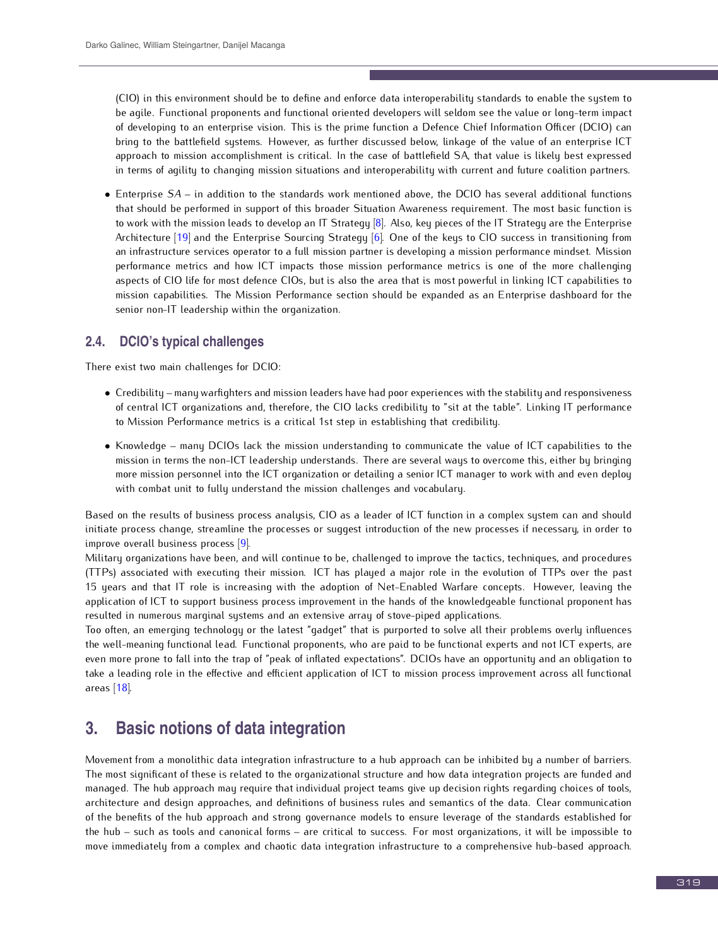(CIO) in this environment should be to define and enforce data interoperability standards to enable the system to be agile. Functional proponents and functional oriented developers will seldom see the value or long-term impact of developing to an enterprise vision. This is the prime function a Defence Chief Information Officer (DCIO) can bring to the battlefield systems. However, as further discussed below, linkage of the value of an enterprise ICT approach to mission accomplishment is critical. In the case of battlefield SA, that value is likely best expressed in terms of agility to changing mission situations and interoperability with current and future coalition partners.

• Enterprise *SA* – in addition to the standards work mentioned above, the DCIO has several additional functions that should be performed in support of this broader Situation Awareness requirement. The most basic function is to work with the mission leads to develop an IT Strategy [\[8\]](#page-13-6). Also, key pieces of the IT Strategy are the Enterprise Architecture [\[19\]](#page-13-7) and the Enterprise Sourcing Strategy [\[6\]](#page-13-8). One of the keys to CIO success in transitioning from an infrastructure services operator to a full mission partner is developing a mission performance mindset. Mission performance metrics and how ICT impacts those mission performance metrics is one of the more challenging aspects of CIO life for most defence CIOs, but is also the area that is most powerful in linking ICT capabilities to mission capabilities. The Mission Performance section should be expanded as an Enterprise dashboard for the senior non-IT leadership within the organization.

### **2.4. DCIO's typical challenges**

There exist two main challenges for DCIO:

- Credibility many warfighters and mission leaders have had poor experiences with the stability and responsiveness of central ICT organizations and, therefore, the CIO lacks credibility to "sit at the table". Linking IT performance to Mission Performance metrics is a critical 1st step in establishing that credibility.
- Knowledge many DCIOs lack the mission understanding to communicate the value of ICT capabilities to the mission in terms the non-ICT leadership understands. There are several ways to overcome this, either by bringing more mission personnel into the ICT organization or detailing a senior ICT manager to work with and even deploy with combat unit to fully understand the mission challenges and vocabulary.

Based on the results of business process analysis, CIO as a leader of ICT function in a complex system can and should initiate process change, streamline the processes or suggest introduction of the new processes if necessary, in order to improve overall business process [\[9\]](#page-13-9).

Military organizations have been, and will continue to be, challenged to improve the tactics, techniques, and procedures (TTPs) associated with executing their mission. ICT has played a major role in the evolution of TTPs over the past 15 years and that IT role is increasing with the adoption of Net-Enabled Warfare concepts. However, leaving the application of ICT to support business process improvement in the hands of the knowledgeable functional proponent has resulted in numerous marginal systems and an extensive array of stove-piped applications.

Too often, an emerging technology or the latest "gadget" that is purported to solve all their problems overly influences the well-meaning functional lead. Functional proponents, who are paid to be functional experts and not ICT experts, are even more prone to fall into the trap of "peak of inflated expectations". DCIOs have an opportunity and an obligation to take a leading role in the effective and efficient application of ICT to mission process improvement across all functional areas [\[18\]](#page-13-10).

## **3. Basic notions of data integration**

Movement from a monolithic data integration infrastructure to a hub approach can be inhibited by a number of barriers. The most significant of these is related to the organizational structure and how data integration projects are funded and managed. The hub approach may require that individual project teams give up decision rights regarding choices of tools, architecture and design approaches, and definitions of business rules and semantics of the data. Clear communication of the benefits of the hub approach and strong governance models to ensure leverage of the standards established for the hub – such as tools and canonical forms – are critical to success. For most organizations, it will be impossible to move immediately from a complex and chaotic data integration infrastructure to a comprehensive hub-based approach.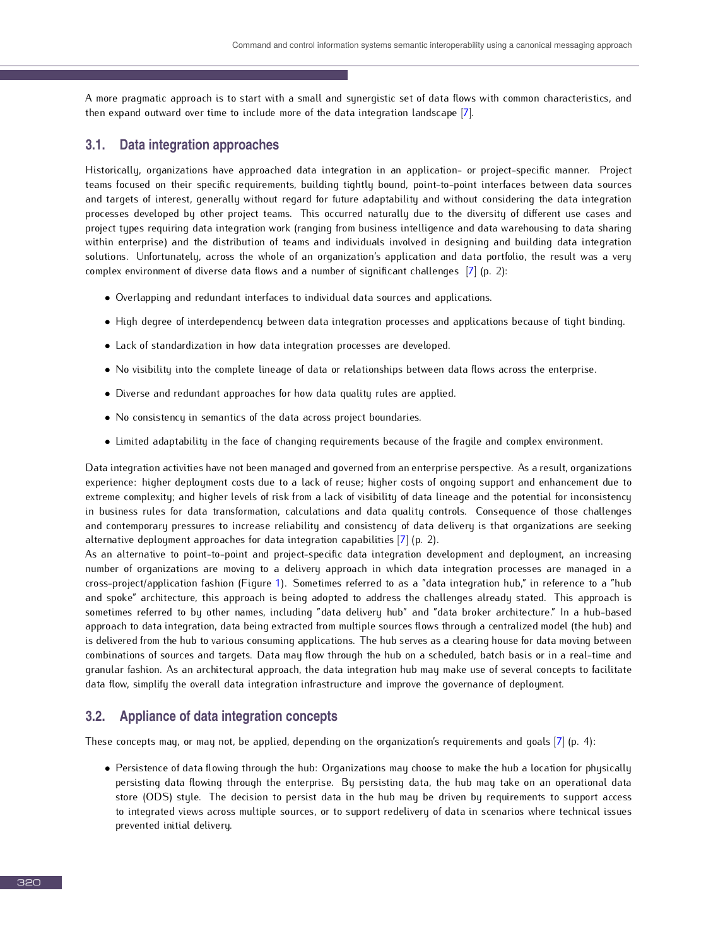A more pragmatic approach is to start with a small and synergistic set of data flows with common characteristics, and then expand outward over time to include more of the data integration landscape [\[7\]](#page-13-11).

#### **3.1. Data integration approaches**

Historically, organizations have approached data integration in an application- or project-specific manner. Project teams focused on their specific requirements, building tightly bound, point-to-point interfaces between data sources and targets of interest, generally without regard for future adaptability and without considering the data integration processes developed by other project teams. This occurred naturally due to the diversity of different use cases and project types requiring data integration work (ranging from business intelligence and data warehousing to data sharing within enterprise) and the distribution of teams and individuals involved in designing and building data integration solutions. Unfortunately, across the whole of an organization's application and data portfolio, the result was a very complex environment of diverse data flows and a number of significant challenges [\[7\]](#page-13-11) (p. 2):

- Overlapping and redundant interfaces to individual data sources and applications.
- High degree of interdependency between data integration processes and applications because of tight binding.
- Lack of standardization in how data integration processes are developed.
- No visibility into the complete lineage of data or relationships between data flows across the enterprise.
- Diverse and redundant approaches for how data quality rules are applied.
- No consistency in semantics of the data across project boundaries.
- Limited adaptability in the face of changing requirements because of the fragile and complex environment.

Data integration activities have not been managed and governed from an enterprise perspective. As a result, organizations experience: higher deployment costs due to a lack of reuse; higher costs of ongoing support and enhancement due to extreme complexity; and higher levels of risk from a lack of visibility of data lineage and the potential for inconsistency in business rules for data transformation, calculations and data quality controls. Consequence of those challenges and contemporary pressures to increase reliability and consistency of data delivery is that organizations are seeking alternative deployment approaches for data integration capabilities [\[7\]](#page-13-11) (p. 2).

As an alternative to point-to-point and project-specific data integration development and deployment, an increasing number of organizations are moving to a delivery approach in which data integration processes are managed in a cross-project/application fashion (Figure [1\)](#page-5-0). Sometimes referred to as a "data integration hub," in reference to a "hub and spoke" architecture, this approach is being adopted to address the challenges already stated. This approach is sometimes referred to by other names, including "data delivery hub" and "data broker architecture." In a hub-based approach to data integration, data being extracted from multiple sources flows through a centralized model (the hub) and is delivered from the hub to various consuming applications. The hub serves as a clearing house for data moving between combinations of sources and targets. Data may flow through the hub on a scheduled, batch basis or in a real-time and granular fashion. As an architectural approach, the data integration hub may make use of several concepts to facilitate data flow, simplify the overall data integration infrastructure and improve the governance of deployment.

### **3.2. Appliance of data integration concepts**

These concepts may, or may not, be applied, depending on the organization's requirements and goals [\[7\]](#page-13-11) (p. 4):

• Persistence of data flowing through the hub: Organizations may choose to make the hub a location for physically persisting data flowing through the enterprise. By persisting data, the hub may take on an operational data store (ODS) style. The decision to persist data in the hub may be driven by requirements to support access to integrated views across multiple sources, or to support redelivery of data in scenarios where technical issues prevented initial delivery.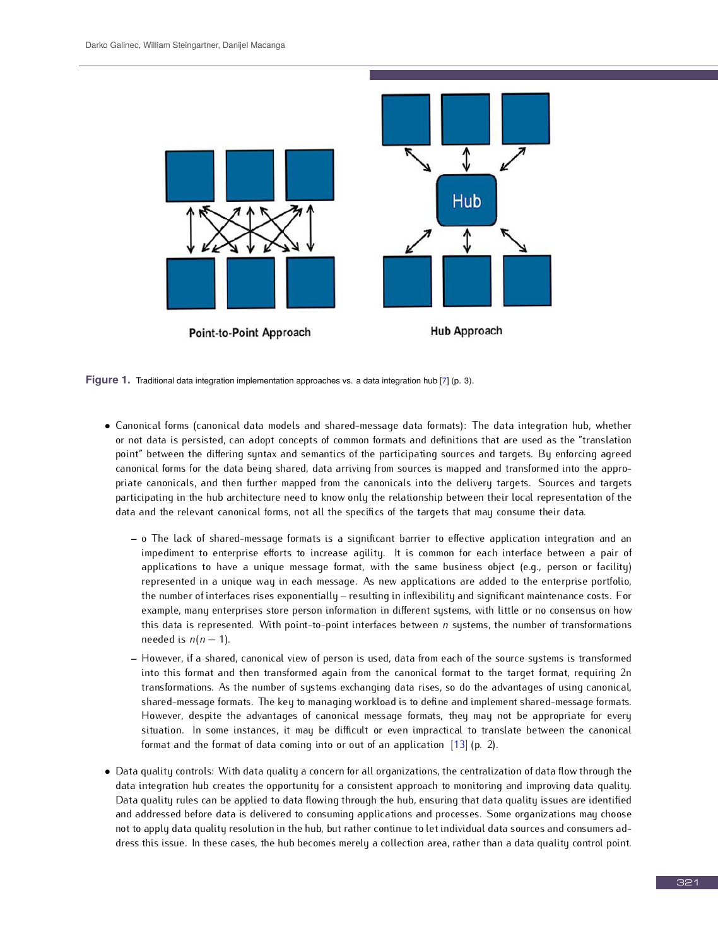

<span id="page-5-0"></span>**Figure 1.** Traditional data integration implementation approaches vs. a data integration hub [\[7\]](#page-13-11) (p. 3).

- Canonical forms (canonical data models and shared-message data formats): The data integration hub, whether or not data is persisted, can adopt concepts of common formats and definitions that are used as the "translation point" between the differing syntax and semantics of the participating sources and targets. By enforcing agreed canonical forms for the data being shared, data arriving from sources is mapped and transformed into the appropriate canonicals, and then further mapped from the canonicals into the delivery targets. Sources and targets participating in the hub architecture need to know only the relationship between their local representation of the data and the relevant canonical forms, not all the specifics of the targets that may consume their data.
	- **–** o The lack of shared-message formats is a significant barrier to effective application integration and an impediment to enterprise efforts to increase agility. It is common for each interface between a pair of applications to have a unique message format, with the same business object (e.g., person or facility) represented in a unique way in each message. As new applications are added to the enterprise portfolio, the number of interfaces rises exponentially – resulting in inflexibility and significant maintenance costs. For example, many enterprises store person information in different systems, with little or no consensus on how this data is represented. With point-to-point interfaces between *n* systems, the number of transformations needed is *n*(*n −* 1).
	- **–** However, if a shared, canonical view of person is used, data from each of the source systems is transformed into this format and then transformed again from the canonical format to the target format, requiring 2n transformations. As the number of systems exchanging data rises, so do the advantages of using canonical, shared-message formats. The key to managing workload is to define and implement shared-message formats. However, despite the advantages of canonical message formats, they may not be appropriate for every situation. In some instances, it may be difficult or even impractical to translate between the canonical format and the format of data coming into or out of an application [\[13\]](#page-13-12) (p. 2).
- Data quality controls: With data quality a concern for all organizations, the centralization of data flow through the data integration hub creates the opportunity for a consistent approach to monitoring and improving data quality. Data quality rules can be applied to data flowing through the hub, ensuring that data quality issues are identified and addressed before data is delivered to consuming applications and processes. Some organizations may choose not to apply data quality resolution in the hub, but rather continue to let individual data sources and consumers address this issue. In these cases, the hub becomes merely a collection area, rather than a data quality control point.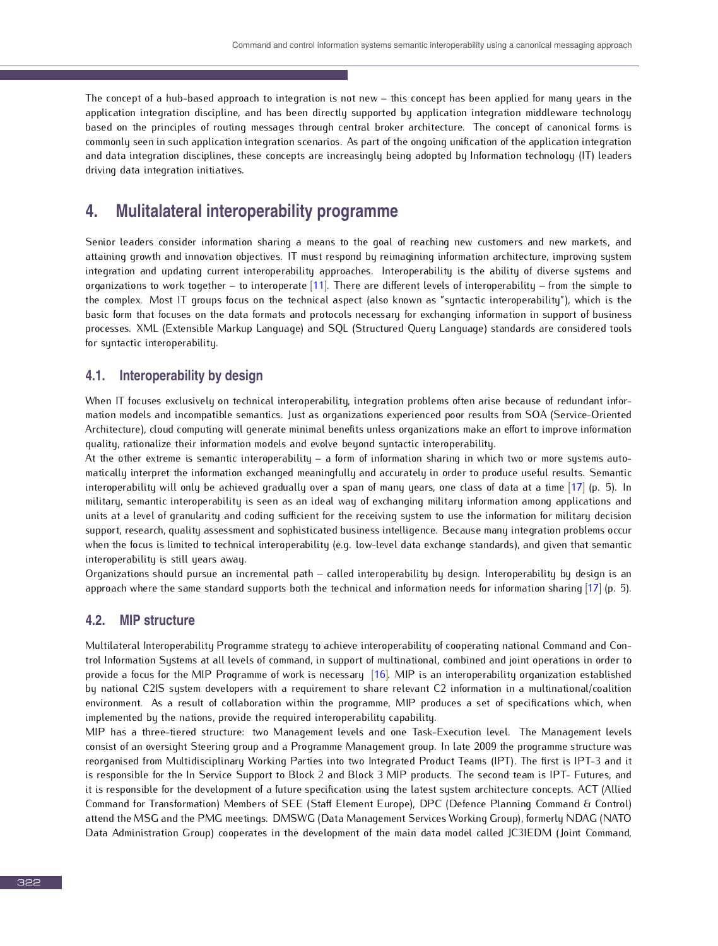The concept of a hub-based approach to integration is not new – this concept has been applied for many years in the application integration discipline, and has been directly supported by application integration middleware technology based on the principles of routing messages through central broker architecture. The concept of canonical forms is commonly seen in such application integration scenarios. As part of the ongoing unification of the application integration and data integration disciplines, these concepts are increasingly being adopted by Information technology (IT) leaders driving data integration initiatives.

## **4. Mulitalateral interoperability programme**

Senior leaders consider information sharing a means to the goal of reaching new customers and new markets, and attaining growth and innovation objectives. IT must respond by reimagining information architecture, improving system integration and updating current interoperability approaches. Interoperability is the ability of diverse systems and organizations to work together – to interoperate [\[11\]](#page-13-13). There are different levels of interoperability – from the simple to the complex. Most IT groups focus on the technical aspect (also known as "syntactic interoperability"), which is the basic form that focuses on the data formats and protocols necessary for exchanging information in support of business processes. XML (Extensible Markup Language) and SQL (Structured Query Language) standards are considered tools for syntactic interoperability.

#### **4.1. Interoperability by design**

When IT focuses exclusively on technical interoperability, integration problems often arise because of redundant information models and incompatible semantics. Just as organizations experienced poor results from SOA (Service-Oriented Architecture), cloud computing will generate minimal benefits unless organizations make an effort to improve information quality, rationalize their information models and evolve beyond syntactic interoperability.

At the other extreme is semantic interoperability – a form of information sharing in which two or more systems automatically interpret the information exchanged meaningfully and accurately in order to produce useful results. Semantic interoperability will only be achieved gradually over a span of many years, one class of data at a time [\[17\]](#page-13-14) (p. 5). In military, semantic interoperability is seen as an ideal way of exchanging military information among applications and units at a level of granularity and coding sufficient for the receiving system to use the information for military decision support, research, quality assessment and sophisticated business intelligence. Because many integration problems occur when the focus is limited to technical interoperability (e.g. low-level data exchange standards), and given that semantic interoperability is still years away.

Organizations should pursue an incremental path – called interoperability by design. Interoperability by design is an approach where the same standard supports both the technical and information needs for information sharing [\[17\]](#page-13-14) (p. 5).

#### **4.2. MIP structure**

Multilateral Interoperability Programme strategy to achieve interoperability of cooperating national Command and Control Information Systems at all levels of command, in support of multinational, combined and joint operations in order to provide a focus for the MIP Programme of work is necessary [\[16\]](#page-13-15). MIP is an interoperability organization established by national C2IS system developers with a requirement to share relevant C2 information in a multinational/coalition environment. As a result of collaboration within the programme, MIP produces a set of specifications which, when implemented by the nations, provide the required interoperability capability.

MIP has a three-tiered structure: two Management levels and one Task-Execution level. The Management levels consist of an oversight Steering group and a Programme Management group. In late 2009 the programme structure was reorganised from Multidisciplinary Working Parties into two Integrated Product Teams (IPT). The first is IPT-3 and it is responsible for the In Service Support to Block 2 and Block 3 MIP products. The second team is IPT- Futures, and it is responsible for the development of a future specification using the latest system architecture concepts. ACT (Allied Command for Transformation) Members of SEE (Staff Element Europe), DPC (Defence Planning Command & Control) attend the MSG and the PMG meetings. DMSWG (Data Management Services Working Group), formerly NDAG (NATO Data Administration Group) cooperates in the development of the main data model called JC3IEDM (Joint Command,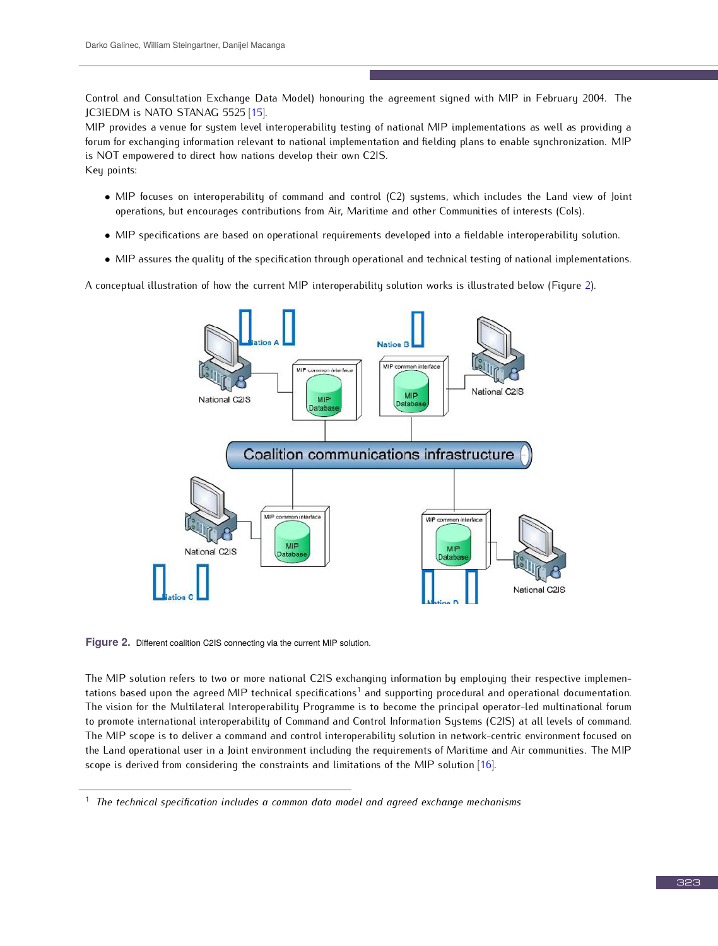Control and Consultation Exchange Data Model) honouring the agreement signed with MIP in February 2004. The JC3IEDM is NATO STANAG 5525 [\[15\]](#page-13-16).

MIP provides a venue for system level interoperability testing of national MIP implementations as well as providing a forum for exchanging information relevant to national implementation and fielding plans to enable synchronization. MIP is NOT empowered to direct how nations develop their own C2IS. Key points:

• MIP focuses on interoperability of command and control (C2) systems, which includes the Land view of Joint operations, but encourages contributions from Air, Maritime and other Communities of interests (CoIs).

- MIP specifications are based on operational requirements developed into a fieldable interoperability solution.
- MIP assures the quality of the specification through operational and technical testing of national implementations.

A conceptual illustration of how the current MIP interoperability solution works is illustrated below (Figure [2\)](#page-7-0).



<span id="page-7-0"></span>**Figure 2.** Different coalition C2IS connecting via the current MIP solution.

The MIP solution refers to two or more national C2IS exchanging information by employing their respective implementations based upon the agreed MIP technical specifications<sup>1</sup> and supporting procedural and operational documentation. The vision for the Multilateral Interoperability Programme is to become the principal operator-led multinational forum to promote international interoperability of Command and Control Information Systems (C2IS) at all levels of command. The MIP scope is to deliver a command and control interoperability solution in network-centric environment focused on the Land operational user in a Joint environment including the requirements of Maritime and Air communities. The MIP scope is derived from considering the constraints and limitations of the MIP solution [\[16\]](#page-13-15).

<sup>1</sup> *The technical specification includes a common data model and agreed exchange mechanisms*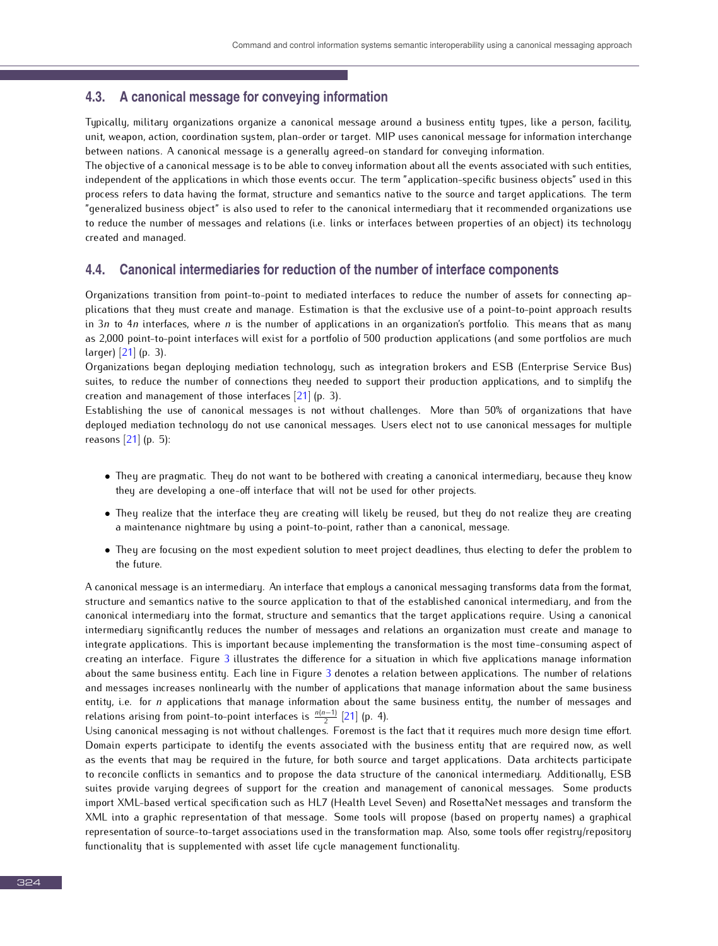### **4.3. A canonical message for conveying information**

Typically, military organizations organize a canonical message around a business entity types, like a person, facility, unit, weapon, action, coordination system, plan-order or target. MIP uses canonical message for information interchange between nations. A canonical message is a generally agreed-on standard for conveying information.

The objective of a canonical message is to be able to convey information about all the events associated with such entities, independent of the applications in which those events occur. The term "application-specific business objects" used in this process refers to data having the format, structure and semantics native to the source and target applications. The term "generalized business object" is also used to refer to the canonical intermediary that it recommended organizations use to reduce the number of messages and relations (i.e. links or interfaces between properties of an object) its technology created and managed.

### **4.4. Canonical intermediaries for reduction of the number of interface components**

Organizations transition from point-to-point to mediated interfaces to reduce the number of assets for connecting applications that they must create and manage. Estimation is that the exclusive use of a point-to-point approach results in 3*n* to 4*n* interfaces, where *n* is the number of applications in an organization's portfolio. This means that as many as 2,000 point-to-point interfaces will exist for a portfolio of 500 production applications (and some portfolios are much larger) [\[21\]](#page-13-17) (p. 3).

Organizations began deploying mediation technology, such as integration brokers and ESB (Enterprise Service Bus) suites, to reduce the number of connections they needed to support their production applications, and to simplify the creation and management of those interfaces [\[21\]](#page-13-17) (p. 3).

Establishing the use of canonical messages is not without challenges. More than 50% of organizations that have deployed mediation technology do not use canonical messages. Users elect not to use canonical messages for multiple reasons [\[21\]](#page-13-17) (p. 5):

- They are pragmatic. They do not want to be bothered with creating a canonical intermediary, because they know they are developing a one-off interface that will not be used for other projects.
- They realize that the interface they are creating will likely be reused, but they do not realize they are creating a maintenance nightmare by using a point-to-point, rather than a canonical, message.
- They are focusing on the most expedient solution to meet project deadlines, thus electing to defer the problem to the future.

A canonical message is an intermediary. An interface that employs a canonical messaging transforms data from the format, structure and semantics native to the source application to that of the established canonical intermediary, and from the canonical intermediary into the format, structure and semantics that the target applications require. Using a canonical intermediary significantly reduces the number of messages and relations an organization must create and manage to integrate applications. This is important because implementing the transformation is the most time-consuming aspect of creating an interface. Figure [3](#page-9-0) illustrates the difference for a situation in which five applications manage information about the same business entity. Each line in Figure [3](#page-9-0) denotes a relation between applications. The number of relations and messages increases nonlinearly with the number of applications that manage information about the same business entity, i.e. for *n* applications that manage information about the same business entity, the number of messages and relations arising from point-to-point interfaces is  $\frac{n(n-1)}{2}$  [\[21\]](#page-13-17) (p. 4).

Using canonical messaging is not without challenges. Foremost is the fact that it requires much more design time effort. Domain experts participate to identify the events associated with the business entity that are required now, as well as the events that may be required in the future, for both source and target applications. Data architects participate to reconcile conflicts in semantics and to propose the data structure of the canonical intermediary. Additionally, ESB suites provide varying degrees of support for the creation and management of canonical messages. Some products import XML-based vertical specification such as HL7 (Health Level Seven) and RosettaNet messages and transform the XML into a graphic representation of that message. Some tools will propose (based on property names) a graphical representation of source-to-target associations used in the transformation map. Also, some tools offer registry/repository functionality that is supplemented with asset life cycle management functionality.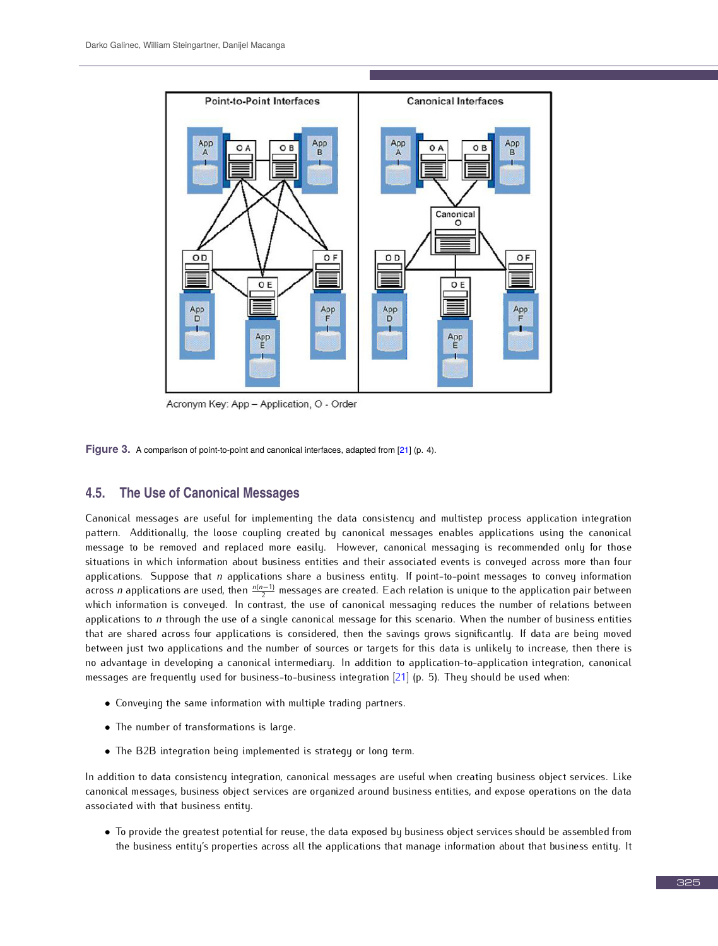

Acronym Key: App - Application, O - Order

<span id="page-9-0"></span>Figure 3. A comparison of point-to-point and canonical interfaces, adapted from [\[21\]](#page-13-17) (p. 4).

### **4.5. The Use of Canonical Messages**

Canonical messages are useful for implementing the data consistency and multistep process application integration pattern. Additionally, the loose coupling created by canonical messages enables applications using the canonical message to be removed and replaced more easily. However, canonical messaging is recommended only for those situations in which information about business entities and their associated events is conveyed across more than four applications. Suppose that *n* applications share a business entity. If point-to-point messages to convey information across *n* applications are used, then  $\frac{n(n-1)}{2}$  messages are created. Each relation is unique to the application pair between which information is conveyed. In contrast, the use of canonical messaging reduces the number of relations between applications to *n* through the use of a single canonical message for this scenario. When the number of business entities that are shared across four applications is considered, then the savings grows significantly. If data are being moved between just two applications and the number of sources or targets for this data is unlikely to increase, then there is no advantage in developing a canonical intermediary. In addition to application-to-application integration, canonical messages are frequently used for business-to-business integration [\[21\]](#page-13-17) (p. 5). They should be used when:

- Conveying the same information with multiple trading partners.
- The number of transformations is large.
- The B2B integration being implemented is strategy or long term.

In addition to data consistency integration, canonical messages are useful when creating business object services. Like canonical messages, business object services are organized around business entities, and expose operations on the data associated with that business entity.

• To provide the greatest potential for reuse, the data exposed by business object services should be assembled from the business entity's properties across all the applications that manage information about that business entity. It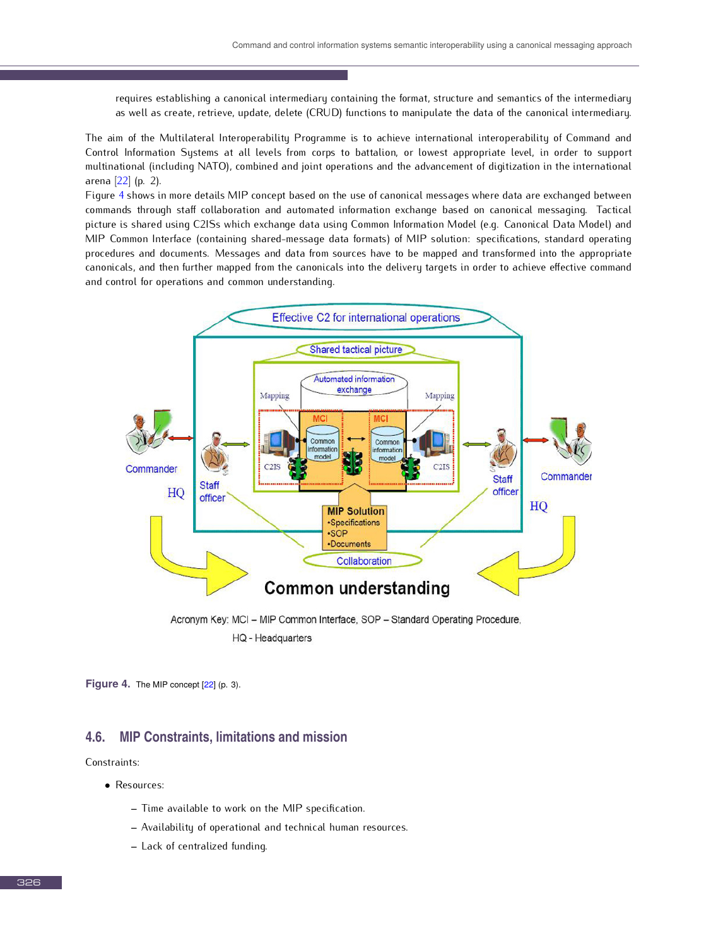requires establishing a canonical intermediary containing the format, structure and semantics of the intermediary as well as create, retrieve, update, delete (CRUD) functions to manipulate the data of the canonical intermediary.

The aim of the Multilateral Interoperability Programme is to achieve international interoperability of Command and Control Information Systems at all levels from corps to battalion, or lowest appropriate level, in order to support multinational (including NATO), combined and joint operations and the advancement of digitization in the international arena [\[22\]](#page-13-18) (p. 2).

Figure [4](#page-10-0) shows in more details MIP concept based on the use of canonical messages where data are exchanged between commands through staff collaboration and automated information exchange based on canonical messaging. Tactical picture is shared using C2ISs which exchange data using Common Information Model (e.g. Canonical Data Model) and MIP Common Interface (containing shared-message data formats) of MIP solution: specifications, standard operating procedures and documents. Messages and data from sources have to be mapped and transformed into the appropriate canonicals, and then further mapped from the canonicals into the delivery targets in order to achieve effective command and control for operations and common understanding.



Acronym Key: MCI - MIP Common Interface, SOP - Standard Operating Procedure, HQ - Headquarters

<span id="page-10-0"></span>**Figure 4.** The MIP concept [\[22\]](#page-13-18) (p. 3).

### **4.6. MIP Constraints, limitations and mission**

Constraints:

- Resources:
	- **–** Time available to work on the MIP specification.
	- **–** Availability of operational and technical human resources.
	- **–** Lack of centralized funding.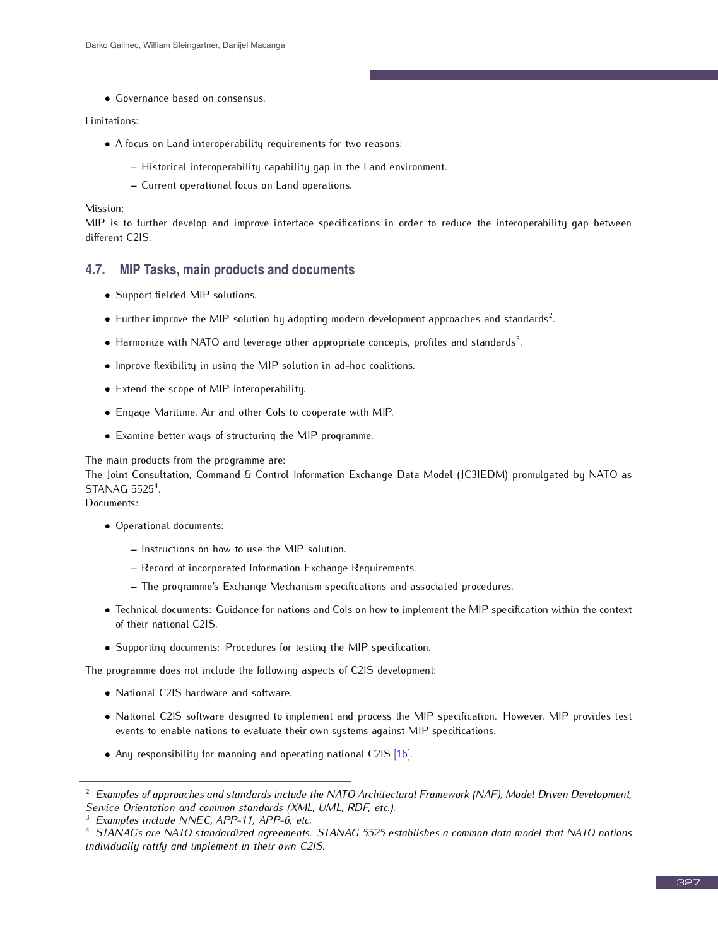• Governance based on consensus.

#### Limitations:

- A focus on Land interoperability requirements for two reasons:
	- **–** Historical interoperability capability gap in the Land environment.
	- **–** Current operational focus on Land operations.

#### Mission:

MIP is to further develop and improve interface specifications in order to reduce the interoperability gap between different C2IS.

### **4.7. MIP Tasks, main products and documents**

- Support fielded MIP solutions.
- $\bullet$  Further improve the MIP solution by adopting modern development approaches and standards<sup>2</sup>.
- $\bullet$  Harmonize with NATO and leverage other appropriate concepts, profiles and standards<sup>3</sup>.
- Improve flexibility in using the MIP solution in ad-hoc coalitions.
- Extend the scope of MIP interoperability.
- Engage Maritime, Air and other CoIs to cooperate with MIP.
- Examine better ways of structuring the MIP programme.

#### The main products from the programme are:

The Joint Consultation, Command & Control Information Exchange Data Model (JC3IEDM) promulgated by NATO as STANAG 5525<sup>4</sup> .

Documents:

- Operational documents:
	- **–** Instructions on how to use the MIP solution.
	- **–** Record of incorporated Information Exchange Requirements.
	- **–** The programme's Exchange Mechanism specifications and associated procedures.
- Technical documents: Guidance for nations and CoIs on how to implement the MIP specification within the context of their national C2IS.
- Supporting documents: Procedures for testing the MIP specification.

The programme does not include the following aspects of C2IS development:

- National C2IS hardware and software.
- National C2IS software designed to implement and process the MIP specification. However, MIP provides test events to enable nations to evaluate their own systems against MIP specifications.
- Any responsibility for manning and operating national C2IS [\[16\]](#page-13-15).

<sup>2</sup> *Examples of approaches and standards include the NATO Architectural Framework (NAF), Model Driven Development,*

*Service Orientation and common standards (XML, UML, RDF, etc.).*

<sup>3</sup> *Examples include NNEC, APP-11, APP-6, etc.*

<sup>4</sup> *STANAGs are NATO standardized agreements. STANAG 5525 establishes a common data model that NATO nations individually ratify and implement in their own C2IS.*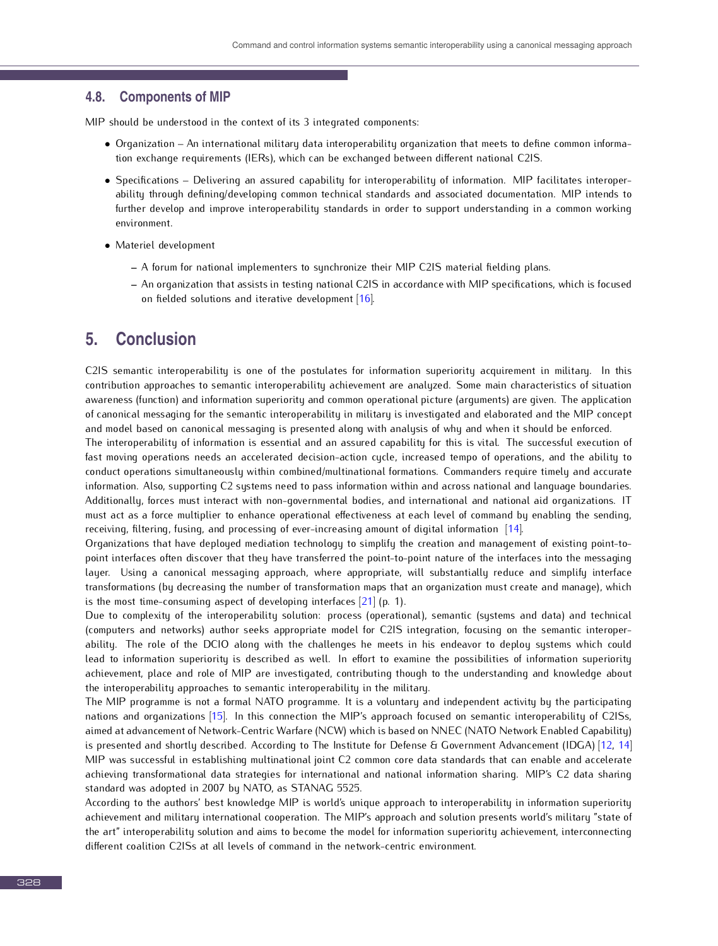#### **4.8. Components of MIP**

MIP should be understood in the context of its 3 integrated components:

- Organization An international military data interoperability organization that meets to define common information exchange requirements (IERs), which can be exchanged between different national C2IS.
- Specifications Delivering an assured capability for interoperability of information. MIP facilitates interoperability through defining/developing common technical standards and associated documentation. MIP intends to further develop and improve interoperability standards in order to support understanding in a common working environment.
- Materiel development
	- **–** A forum for national implementers to synchronize their MIP C2IS material fielding plans.
	- **–** An organization that assists in testing national C2IS in accordance with MIP specifications, which is focused on fielded solutions and iterative development [\[16\]](#page-13-15).

### **5. Conclusion**

C2IS semantic interoperability is one of the postulates for information superiority acquirement in military. In this contribution approaches to semantic interoperability achievement are analyzed. Some main characteristics of situation awareness (function) and information superiority and common operational picture (arguments) are given. The application of canonical messaging for the semantic interoperability in military is investigated and elaborated and the MIP concept and model based on canonical messaging is presented along with analysis of why and when it should be enforced.

The interoperability of information is essential and an assured capability for this is vital. The successful execution of fast moving operations needs an accelerated decision-action cycle, increased tempo of operations, and the ability to conduct operations simultaneously within combined/multinational formations. Commanders require timely and accurate information. Also, supporting C2 systems need to pass information within and across national and language boundaries. Additionally, forces must interact with non-governmental bodies, and international and national aid organizations. IT must act as a force multiplier to enhance operational effectiveness at each level of command by enabling the sending, receiving, filtering, fusing, and processing of ever-increasing amount of digital information [\[14\]](#page-13-19).

Organizations that have deployed mediation technology to simplify the creation and management of existing point-topoint interfaces often discover that they have transferred the point-to-point nature of the interfaces into the messaging layer. Using a canonical messaging approach, where appropriate, will substantially reduce and simplify interface transformations (by decreasing the number of transformation maps that an organization must create and manage), which is the most time-consuming aspect of developing interfaces [\[21\]](#page-13-17) (p. 1).

Due to complexity of the interoperability solution: process (operational), semantic (systems and data) and technical (computers and networks) author seeks appropriate model for C2IS integration, focusing on the semantic interoperability. The role of the DCIO along with the challenges he meets in his endeavor to deploy systems which could lead to information superiority is described as well. In effort to examine the possibilities of information superiority achievement, place and role of MIP are investigated, contributing though to the understanding and knowledge about the interoperability approaches to semantic interoperability in the military.

The MIP programme is not a formal NATO programme. It is a voluntary and independent activity by the participating nations and organizations [\[15\]](#page-13-16). In this connection the MIP's approach focused on semantic interoperability of C2ISs, aimed at advancement of Network-Centric Warfare (NCW) which is based on NNEC (NATO Network Enabled Capability) is presented and shortly described. According to The Institute for Defense & Government Advancement (IDGA) [\[12,](#page-13-20) [14\]](#page-13-19) MIP was successful in establishing multinational joint C2 common core data standards that can enable and accelerate achieving transformational data strategies for international and national information sharing. MIP's C2 data sharing standard was adopted in 2007 by NATO, as STANAG 5525.

According to the authors' best knowledge MIP is world's unique approach to interoperability in information superiority achievement and military international cooperation. The MIP's approach and solution presents world's military "state of the art" interoperability solution and aims to become the model for information superiority achievement, interconnecting different coalition C2ISs at all levels of command in the network-centric environment.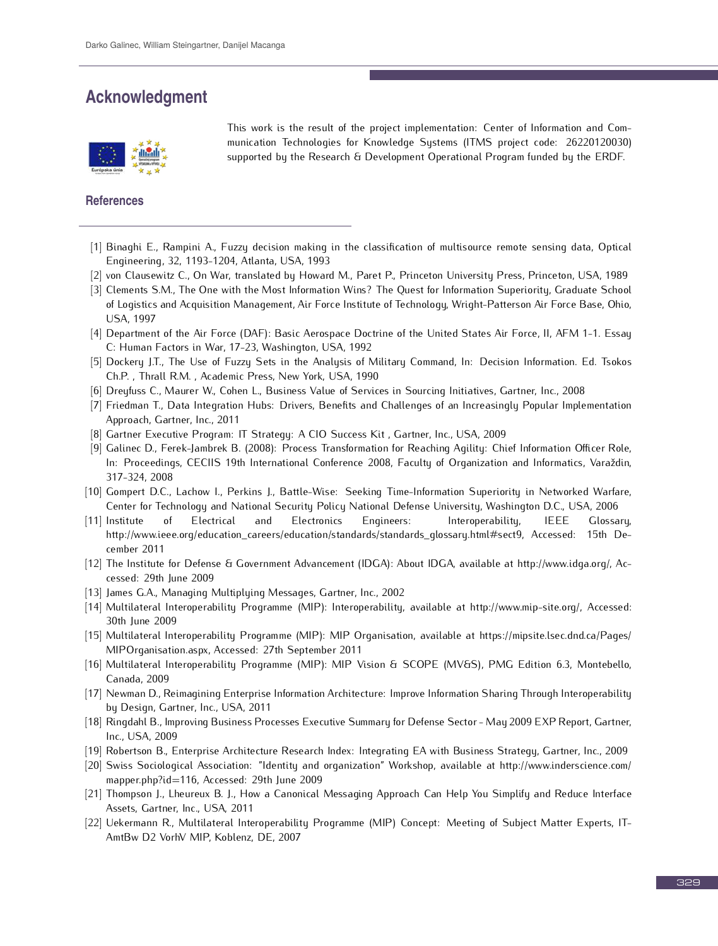## **Acknowledgment**



This work is the result of the project implementation: Center of Information and Communication Technologies for Knowledge Systems (ITMS project code: 26220120030) supported by the Research & Development Operational Program funded by the ERDF.

#### **References**

- <span id="page-13-1"></span>[1] Binaghi E., Rampini A., Fuzzy decision making in the classification of multisource remote sensing data, Optical Engineering, 32, 1193-1204, Atlanta, USA, 1993
- <span id="page-13-3"></span>[2] von Clausewitz C., On War, translated by Howard M., Paret P., Princeton University Press, Princeton, USA, 1989
- [3] Clements S.M., The One with the Most Information Wins? The Quest for Information Superiority, Graduate School of Logistics and Acquisition Management, Air Force Institute of Technology, Wright-Patterson Air Force Base, Ohio, USA, 1997
- <span id="page-13-4"></span>[4] Department of the Air Force (DAF): Basic Aerospace Doctrine of the United States Air Force, II, AFM 1-1. Essay C: Human Factors in War, 17-23, Washington, USA, 1992
- <span id="page-13-2"></span>[5] Dockery J.T., The Use of Fuzzy Sets in the Analysis of Military Command, In: Decision Information. Ed. Tsokos Ch.P. , Thrall R.M. , Academic Press, New York, USA, 1990
- <span id="page-13-8"></span>[6] Dreyfuss C., Maurer W., Cohen L., Business Value of Services in Sourcing Initiatives, Gartner, Inc., 2008
- <span id="page-13-11"></span>[7] Friedman T., Data Integration Hubs: Drivers, Benefits and Challenges of an Increasingly Popular Implementation Approach, Gartner, Inc., 2011
- <span id="page-13-6"></span>[8] Gartner Executive Program: IT Strategy: A CIO Success Kit , Gartner, Inc., USA, 2009
- <span id="page-13-9"></span>[9] Galinec D., Ferek-Jambrek B. (2008): Process Transformation for Reaching Agility: Chief Information Officer Role, In: Proceedings, CECIIS 19th International Conference 2008, Faculty of Organization and Informatics, Varaždin, 317-324, 2008
- <span id="page-13-5"></span>[10] Gompert D.C., Lachow I., Perkins J., Battle-Wise: Seeking Time-Information Superiority in Networked Warfare, Center for Technology and National Security Policy National Defense University, Washington D.C., USA, 2006
- <span id="page-13-13"></span>[11] Institute of Electrical and Electronics Engineers: Interoperability, IEEE Glossary, http://www.ieee.org/education\_careers/education/standards/standards\_glossary.html#sect9, Accessed: 15th December 2011
- <span id="page-13-20"></span>[12] The Institute for Defense & Government Advancement (IDGA): About IDGA, available at http://www.idga.org/, Accessed: 29th June 2009
- <span id="page-13-12"></span>[13] James G.A., Managing Multiplying Messages, Gartner, Inc., 2002
- <span id="page-13-19"></span>[14] Multilateral Interoperability Programme (MIP): Interoperability, available at http://www.mip-site.org/, Accessed: 30th June 2009
- <span id="page-13-16"></span>[15] Multilateral Interoperability Programme (MIP): MIP Organisation, available at https://mipsite.lsec.dnd.ca/Pages/ MIPOrganisation.aspx, Accessed: 27th September 2011
- <span id="page-13-15"></span>[16] Multilateral Interoperability Programme (MIP): MIP Vision & SCOPE (MV&S), PMG Edition 6.3, Montebello, Canada, 2009
- <span id="page-13-14"></span>[17] Newman D., Reimagining Enterprise Information Architecture: Improve Information Sharing Through Interoperability by Design, Gartner, Inc., USA, 2011
- <span id="page-13-10"></span>[18] Ringdahl B., Improving Business Processes Executive Summary for Defense Sector - May 2009 EXP Report, Gartner, Inc., USA, 2009
- <span id="page-13-7"></span>[19] Robertson B., Enterprise Architecture Research Index: Integrating EA with Business Strategy, Gartner, Inc., 2009
- <span id="page-13-0"></span>[20] Swiss Sociological Association: "Identity and organization" Workshop, available at http://www.inderscience.com/ mapper.php?id=116, Accessed: 29th June 2009
- <span id="page-13-17"></span>[21] Thompson J., Lheureux B. J., How a Canonical Messaging Approach Can Help You Simplify and Reduce Interface Assets, Gartner, Inc., USA, 2011
- <span id="page-13-18"></span>[22] Uekermann R., Multilateral Interoperability Programme (MIP) Concept: Meeting of Subject Matter Experts, IT-AmtBw D2 VorhV MIP, Koblenz, DE, 2007